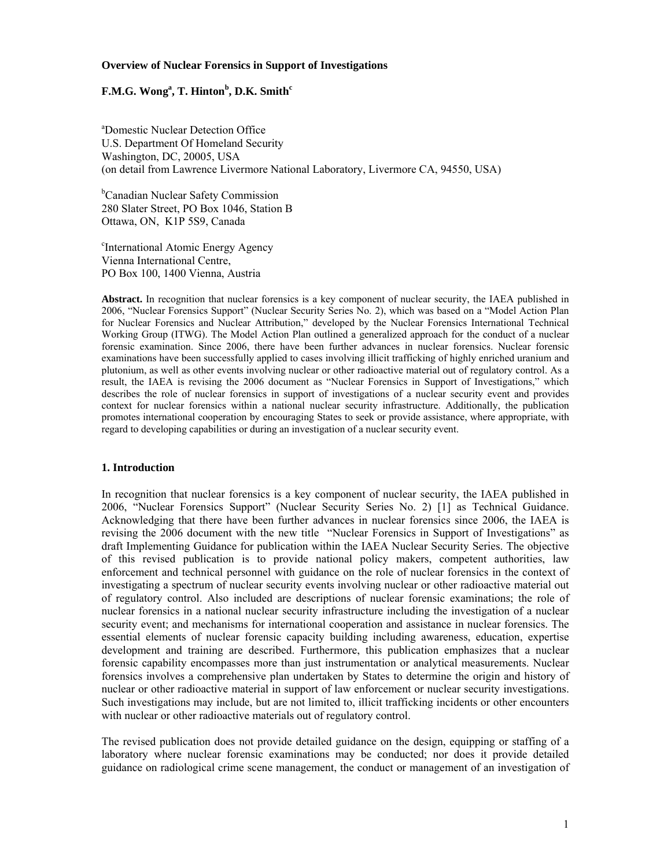#### **Overview of Nuclear Forensics in Support of Investigations**

# $\mathbf{F.M.G.}\ \mathbf{Wong}^{\mathbf{a}}, \mathbf{T.}\ \mathbf{Hinton}^{\mathbf{b}}, \mathbf{D.K.}\ \mathbf{Smith}^{\mathbf{c}}$

a Domestic Nuclear Detection Office U.S. Department Of Homeland Security Washington, DC, 20005, USA (on detail from Lawrence Livermore National Laboratory, Livermore CA, 94550, USA)

<sup>b</sup>Canadian Nuclear Safety Commission 280 Slater Street, PO Box 1046, Station B Ottawa, ON, K1P 5S9, Canada

c International Atomic Energy Agency Vienna International Centre, PO Box 100, 1400 Vienna, Austria

**Abstract.** In recognition that nuclear forensics is a key component of nuclear security, the IAEA published in 2006, "Nuclear Forensics Support" (Nuclear Security Series No. 2), which was based on a "Model Action Plan for Nuclear Forensics and Nuclear Attribution," developed by the Nuclear Forensics International Technical Working Group (ITWG). The Model Action Plan outlined a generalized approach for the conduct of a nuclear forensic examination. Since 2006, there have been further advances in nuclear forensics. Nuclear forensic examinations have been successfully applied to cases involving illicit trafficking of highly enriched uranium and plutonium, as well as other events involving nuclear or other radioactive material out of regulatory control. As a result, the IAEA is revising the 2006 document as "Nuclear Forensics in Support of Investigations," which describes the role of nuclear forensics in support of investigations of a nuclear security event and provides context for nuclear forensics within a national nuclear security infrastructure. Additionally, the publication promotes international cooperation by encouraging States to seek or provide assistance, where appropriate, with regard to developing capabilities or during an investigation of a nuclear security event.

### **1. Introduction**

In recognition that nuclear forensics is a key component of nuclear security, the IAEA published in 2006, "Nuclear Forensics Support" (Nuclear Security Series No. 2) [1] as Technical Guidance. Acknowledging that there have been further advances in nuclear forensics since 2006, the IAEA is revising the 2006 document with the new title "Nuclear Forensics in Support of Investigations" as draft Implementing Guidance for publication within the IAEA Nuclear Security Series. The objective of this revised publication is to provide national policy makers, competent authorities, law enforcement and technical personnel with guidance on the role of nuclear forensics in the context of investigating a spectrum of nuclear security events involving nuclear or other radioactive material out of regulatory control. Also included are descriptions of nuclear forensic examinations; the role of nuclear forensics in a national nuclear security infrastructure including the investigation of a nuclear security event; and mechanisms for international cooperation and assistance in nuclear forensics. The essential elements of nuclear forensic capacity building including awareness, education, expertise development and training are described. Furthermore, this publication emphasizes that a nuclear forensic capability encompasses more than just instrumentation or analytical measurements. Nuclear forensics involves a comprehensive plan undertaken by States to determine the origin and history of nuclear or other radioactive material in support of law enforcement or nuclear security investigations. Such investigations may include, but are not limited to, illicit trafficking incidents or other encounters with nuclear or other radioactive materials out of regulatory control.

The revised publication does not provide detailed guidance on the design, equipping or staffing of a laboratory where nuclear forensic examinations may be conducted; nor does it provide detailed guidance on radiological crime scene management, the conduct or management of an investigation of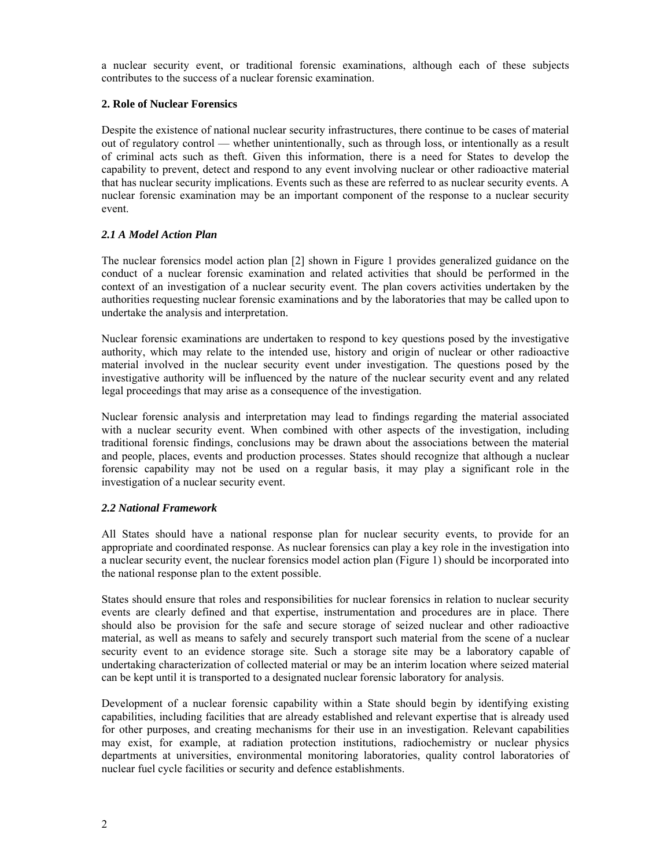a nuclear security event, or traditional forensic examinations, although each of these subjects contributes to the success of a nuclear forensic examination.

## **2. Role of Nuclear Forensics**

Despite the existence of national nuclear security infrastructures, there continue to be cases of material out of regulatory control — whether unintentionally, such as through loss, or intentionally as a result of criminal acts such as theft. Given this information, there is a need for States to develop the capability to prevent, detect and respond to any event involving nuclear or other radioactive material that has nuclear security implications. Events such as these are referred to as nuclear security events. A nuclear forensic examination may be an important component of the response to a nuclear security event.

## *2.1 A Model Action Plan*

The nuclear forensics model action plan [2] shown in Figure 1 provides generalized guidance on the conduct of a nuclear forensic examination and related activities that should be performed in the context of an investigation of a nuclear security event. The plan covers activities undertaken by the authorities requesting nuclear forensic examinations and by the laboratories that may be called upon to undertake the analysis and interpretation.

Nuclear forensic examinations are undertaken to respond to key questions posed by the investigative authority, which may relate to the intended use, history and origin of nuclear or other radioactive material involved in the nuclear security event under investigation. The questions posed by the investigative authority will be influenced by the nature of the nuclear security event and any related legal proceedings that may arise as a consequence of the investigation.

Nuclear forensic analysis and interpretation may lead to findings regarding the material associated with a nuclear security event. When combined with other aspects of the investigation, including traditional forensic findings, conclusions may be drawn about the associations between the material and people, places, events and production processes. States should recognize that although a nuclear forensic capability may not be used on a regular basis, it may play a significant role in the investigation of a nuclear security event.

### *2.2 National Framework*

All States should have a national response plan for nuclear security events, to provide for an appropriate and coordinated response. As nuclear forensics can play a key role in the investigation into a nuclear security event, the nuclear forensics model action plan (Figure 1) should be incorporated into the national response plan to the extent possible.

States should ensure that roles and responsibilities for nuclear forensics in relation to nuclear security events are clearly defined and that expertise, instrumentation and procedures are in place. There should also be provision for the safe and secure storage of seized nuclear and other radioactive material, as well as means to safely and securely transport such material from the scene of a nuclear security event to an evidence storage site. Such a storage site may be a laboratory capable of undertaking characterization of collected material or may be an interim location where seized material can be kept until it is transported to a designated nuclear forensic laboratory for analysis.

Development of a nuclear forensic capability within a State should begin by identifying existing capabilities, including facilities that are already established and relevant expertise that is already used for other purposes, and creating mechanisms for their use in an investigation. Relevant capabilities may exist, for example, at radiation protection institutions, radiochemistry or nuclear physics departments at universities, environmental monitoring laboratories, quality control laboratories of nuclear fuel cycle facilities or security and defence establishments.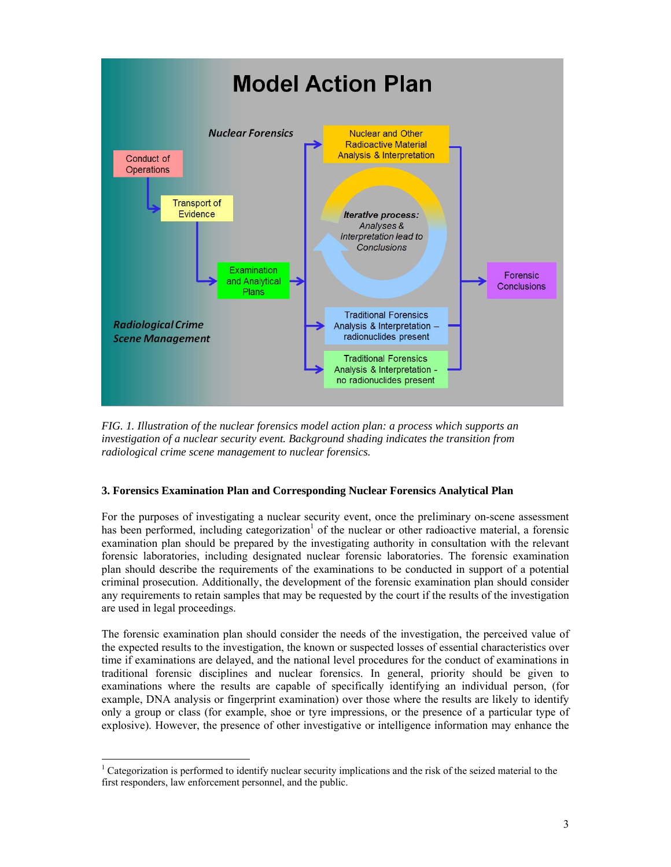

*FIG. 1. Illustration of the nuclear forensics model action plan: a process which supports an investigation of a nuclear security event. Background shading indicates the transition from radiological crime scene management to nuclear forensics.* 

# **3. Forensics Examination Plan and Corresponding Nuclear Forensics Analytical Plan**

For the purposes of investigating a nuclear security event, once the preliminary on-scene assessment has been performed, including categorization<sup>1</sup> of the nuclear or other radioactive material, a forensic examination plan should be prepared by the investigating authority in consultation with the relevant forensic laboratories, including designated nuclear forensic laboratories. The forensic examination plan should describe the requirements of the examinations to be conducted in support of a potential criminal prosecution. Additionally, the development of the forensic examination plan should consider any requirements to retain samples that may be requested by the court if the results of the investigation are used in legal proceedings.

The forensic examination plan should consider the needs of the investigation, the perceived value of the expected results to the investigation, the known or suspected losses of essential characteristics over time if examinations are delayed, and the national level procedures for the conduct of examinations in traditional forensic disciplines and nuclear forensics. In general, priority should be given to examinations where the results are capable of specifically identifying an individual person, (for example, DNA analysis or fingerprint examination) over those where the results are likely to identify only a group or class (for example, shoe or tyre impressions, or the presence of a particular type of explosive). However, the presence of other investigative or intelligence information may enhance the

<sup>1</sup> Categorization is performed to identify nuclear security implications and the risk of the seized material to the first responders, law enforcement personnel, and the public.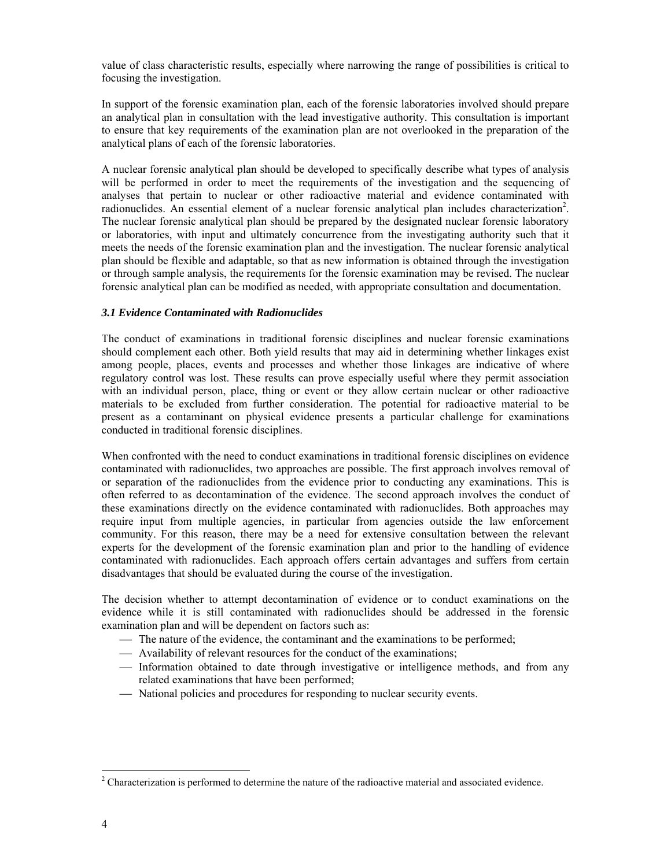value of class characteristic results, especially where narrowing the range of possibilities is critical to focusing the investigation.

In support of the forensic examination plan, each of the forensic laboratories involved should prepare an analytical plan in consultation with the lead investigative authority. This consultation is important to ensure that key requirements of the examination plan are not overlooked in the preparation of the analytical plans of each of the forensic laboratories.

A nuclear forensic analytical plan should be developed to specifically describe what types of analysis will be performed in order to meet the requirements of the investigation and the sequencing of analyses that pertain to nuclear or other radioactive material and evidence contaminated with radionuclides. An essential element of a nuclear forensic analytical plan includes characterization<sup>2</sup>. The nuclear forensic analytical plan should be prepared by the designated nuclear forensic laboratory or laboratories, with input and ultimately concurrence from the investigating authority such that it meets the needs of the forensic examination plan and the investigation. The nuclear forensic analytical plan should be flexible and adaptable, so that as new information is obtained through the investigation or through sample analysis, the requirements for the forensic examination may be revised. The nuclear forensic analytical plan can be modified as needed, with appropriate consultation and documentation.

### *3.1 Evidence Contaminated with Radionuclides*

The conduct of examinations in traditional forensic disciplines and nuclear forensic examinations should complement each other. Both yield results that may aid in determining whether linkages exist among people, places, events and processes and whether those linkages are indicative of where regulatory control was lost. These results can prove especially useful where they permit association with an individual person, place, thing or event or they allow certain nuclear or other radioactive materials to be excluded from further consideration. The potential for radioactive material to be present as a contaminant on physical evidence presents a particular challenge for examinations conducted in traditional forensic disciplines.

When confronted with the need to conduct examinations in traditional forensic disciplines on evidence contaminated with radionuclides, two approaches are possible. The first approach involves removal of or separation of the radionuclides from the evidence prior to conducting any examinations. This is often referred to as decontamination of the evidence. The second approach involves the conduct of these examinations directly on the evidence contaminated with radionuclides. Both approaches may require input from multiple agencies, in particular from agencies outside the law enforcement community. For this reason, there may be a need for extensive consultation between the relevant experts for the development of the forensic examination plan and prior to the handling of evidence contaminated with radionuclides. Each approach offers certain advantages and suffers from certain disadvantages that should be evaluated during the course of the investigation.

The decision whether to attempt decontamination of evidence or to conduct examinations on the evidence while it is still contaminated with radionuclides should be addressed in the forensic examination plan and will be dependent on factors such as:

- The nature of the evidence, the contaminant and the examinations to be performed;
- Availability of relevant resources for the conduct of the examinations;
- Information obtained to date through investigative or intelligence methods, and from any related examinations that have been performed;
- National policies and procedures for responding to nuclear security events.

 <sup>2</sup> Characterization is performed to determine the nature of the radioactive material and associated evidence.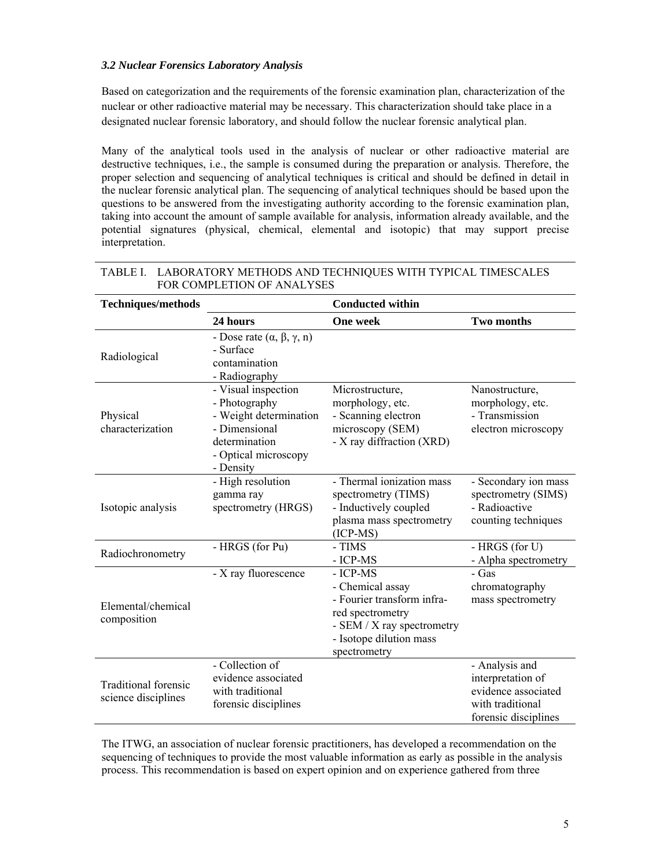## *3.2 Nuclear Forensics Laboratory Analysis*

Based on categorization and the requirements of the forensic examination plan, characterization of the nuclear or other radioactive material may be necessary. This characterization should take place in a designated nuclear forensic laboratory, and should follow the nuclear forensic analytical plan.

Many of the analytical tools used in the analysis of nuclear or other radioactive material are destructive techniques, i.e., the sample is consumed during the preparation or analysis. Therefore, the proper selection and sequencing of analytical techniques is critical and should be defined in detail in the nuclear forensic analytical plan. The sequencing of analytical techniques should be based upon the questions to be answered from the investigating authority according to the forensic examination plan, taking into account the amount of sample available for analysis, information already available, and the potential signatures (physical, chemical, elemental and isotopic) that may support precise interpretation.

| <b>Techniques/methods</b>                          |                                                                                                                                       | <b>Conducted within</b>                                                                                                                                 |                                                                                                        |
|----------------------------------------------------|---------------------------------------------------------------------------------------------------------------------------------------|---------------------------------------------------------------------------------------------------------------------------------------------------------|--------------------------------------------------------------------------------------------------------|
|                                                    | 24 hours                                                                                                                              | <b>One week</b>                                                                                                                                         | <b>Two months</b>                                                                                      |
| Radiological                                       | - Dose rate $(\alpha, \beta, \gamma, n)$<br>- Surface<br>contamination<br>- Radiography                                               |                                                                                                                                                         |                                                                                                        |
| Physical<br>characterization                       | - Visual inspection<br>- Photography<br>- Weight determination<br>- Dimensional<br>determination<br>- Optical microscopy<br>- Density | Microstructure,<br>morphology, etc.<br>- Scanning electron<br>microscopy (SEM)<br>- X ray diffraction (XRD)                                             | Nanostructure,<br>morphology, etc.<br>- Transmission<br>electron microscopy                            |
| Isotopic analysis                                  | - High resolution<br>gamma ray<br>spectrometry (HRGS)                                                                                 | - Thermal ionization mass<br>spectrometry (TIMS)<br>- Inductively coupled<br>plasma mass spectrometry<br>$(ICP-MS)$                                     | - Secondary ion mass<br>spectrometry (SIMS)<br>- Radioactive<br>counting techniques                    |
| Radiochronometry                                   | - HRGS (for Pu)                                                                                                                       | - TIMS<br>- ICP-MS                                                                                                                                      | - HRGS (for U)<br>- Alpha spectrometry                                                                 |
| Elemental/chemical<br>composition                  | - X ray fluorescence                                                                                                                  | - ICP-MS<br>- Chemical assay<br>- Fourier transform infra-<br>red spectrometry<br>- SEM / X ray spectrometry<br>- Isotope dilution mass<br>spectrometry | - Gas<br>chromatography<br>mass spectrometry                                                           |
| <b>Traditional forensic</b><br>science disciplines | - Collection of<br>evidence associated<br>with traditional<br>forensic disciplines                                                    |                                                                                                                                                         | - Analysis and<br>interpretation of<br>evidence associated<br>with traditional<br>forensic disciplines |

# TABLE I. LABORATORY METHODS AND TECHNIQUES WITH TYPICAL TIMESCALES FOR COMPLETION OF ANALYSES

The ITWG, an association of nuclear forensic practitioners, has developed a recommendation on the sequencing of techniques to provide the most valuable information as early as possible in the analysis process. This recommendation is based on expert opinion and on experience gathered from three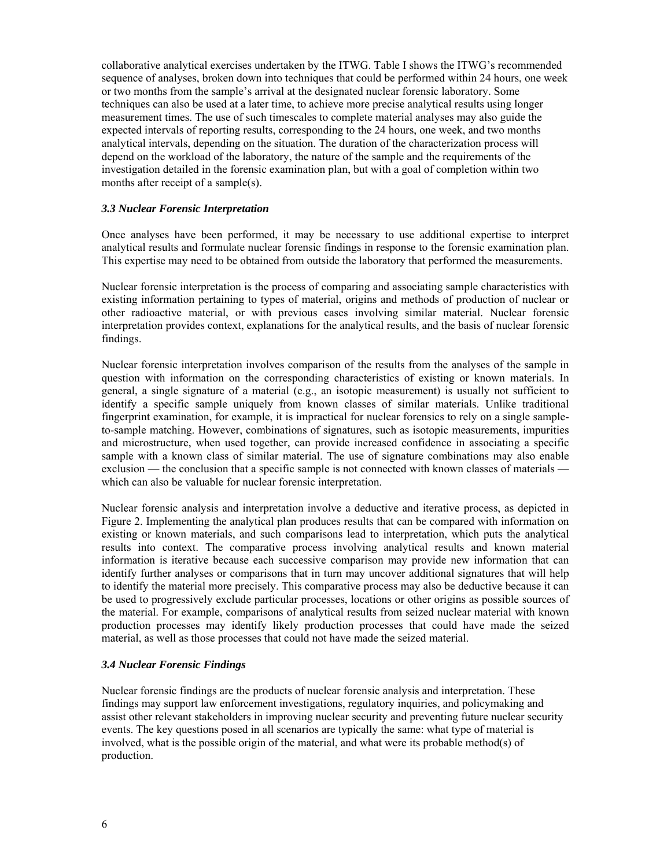collaborative analytical exercises undertaken by the ITWG. Table I shows the ITWG's recommended sequence of analyses, broken down into techniques that could be performed within 24 hours, one week or two months from the sample's arrival at the designated nuclear forensic laboratory. Some techniques can also be used at a later time, to achieve more precise analytical results using longer measurement times. The use of such timescales to complete material analyses may also guide the expected intervals of reporting results, corresponding to the 24 hours, one week, and two months analytical intervals, depending on the situation. The duration of the characterization process will depend on the workload of the laboratory, the nature of the sample and the requirements of the investigation detailed in the forensic examination plan, but with a goal of completion within two months after receipt of a sample(s).

### *3.3 Nuclear Forensic Interpretation*

Once analyses have been performed, it may be necessary to use additional expertise to interpret analytical results and formulate nuclear forensic findings in response to the forensic examination plan. This expertise may need to be obtained from outside the laboratory that performed the measurements.

Nuclear forensic interpretation is the process of comparing and associating sample characteristics with existing information pertaining to types of material, origins and methods of production of nuclear or other radioactive material, or with previous cases involving similar material. Nuclear forensic interpretation provides context, explanations for the analytical results, and the basis of nuclear forensic findings.

Nuclear forensic interpretation involves comparison of the results from the analyses of the sample in question with information on the corresponding characteristics of existing or known materials. In general, a single signature of a material (e.g., an isotopic measurement) is usually not sufficient to identify a specific sample uniquely from known classes of similar materials. Unlike traditional fingerprint examination, for example, it is impractical for nuclear forensics to rely on a single sampleto-sample matching. However, combinations of signatures, such as isotopic measurements, impurities and microstructure, when used together, can provide increased confidence in associating a specific sample with a known class of similar material. The use of signature combinations may also enable exclusion — the conclusion that a specific sample is not connected with known classes of materials which can also be valuable for nuclear forensic interpretation.

Nuclear forensic analysis and interpretation involve a deductive and iterative process, as depicted in Figure 2. Implementing the analytical plan produces results that can be compared with information on existing or known materials, and such comparisons lead to interpretation, which puts the analytical results into context. The comparative process involving analytical results and known material information is iterative because each successive comparison may provide new information that can identify further analyses or comparisons that in turn may uncover additional signatures that will help to identify the material more precisely. This comparative process may also be deductive because it can be used to progressively exclude particular processes, locations or other origins as possible sources of the material. For example, comparisons of analytical results from seized nuclear material with known production processes may identify likely production processes that could have made the seized material, as well as those processes that could not have made the seized material.

# *3.4 Nuclear Forensic Findings*

Nuclear forensic findings are the products of nuclear forensic analysis and interpretation. These findings may support law enforcement investigations, regulatory inquiries, and policymaking and assist other relevant stakeholders in improving nuclear security and preventing future nuclear security events. The key questions posed in all scenarios are typically the same: what type of material is involved, what is the possible origin of the material, and what were its probable method(s) of production.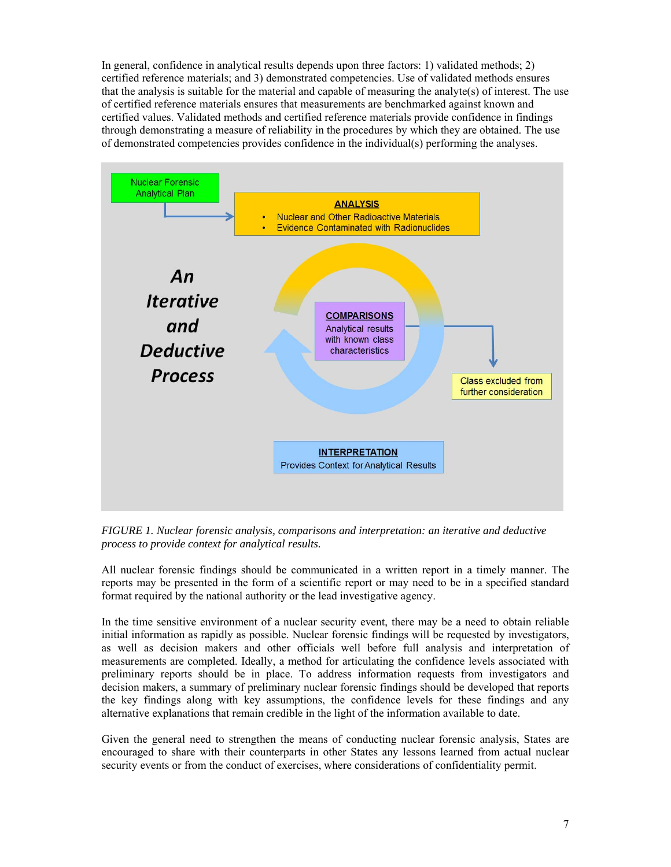In general, confidence in analytical results depends upon three factors: 1) validated methods; 2) certified reference materials; and 3) demonstrated competencies. Use of validated methods ensures that the analysis is suitable for the material and capable of measuring the analyte(s) of interest. The use of certified reference materials ensures that measurements are benchmarked against known and certified values. Validated methods and certified reference materials provide confidence in findings through demonstrating a measure of reliability in the procedures by which they are obtained. The use of demonstrated competencies provides confidence in the individual(s) performing the analyses.



*FIGURE 1. Nuclear forensic analysis, comparisons and interpretation: an iterative and deductive process to provide context for analytical results.* 

All nuclear forensic findings should be communicated in a written report in a timely manner. The reports may be presented in the form of a scientific report or may need to be in a specified standard format required by the national authority or the lead investigative agency.

In the time sensitive environment of a nuclear security event, there may be a need to obtain reliable initial information as rapidly as possible. Nuclear forensic findings will be requested by investigators, as well as decision makers and other officials well before full analysis and interpretation of measurements are completed. Ideally, a method for articulating the confidence levels associated with preliminary reports should be in place. To address information requests from investigators and decision makers, a summary of preliminary nuclear forensic findings should be developed that reports the key findings along with key assumptions, the confidence levels for these findings and any alternative explanations that remain credible in the light of the information available to date.

Given the general need to strengthen the means of conducting nuclear forensic analysis, States are encouraged to share with their counterparts in other States any lessons learned from actual nuclear security events or from the conduct of exercises, where considerations of confidentiality permit.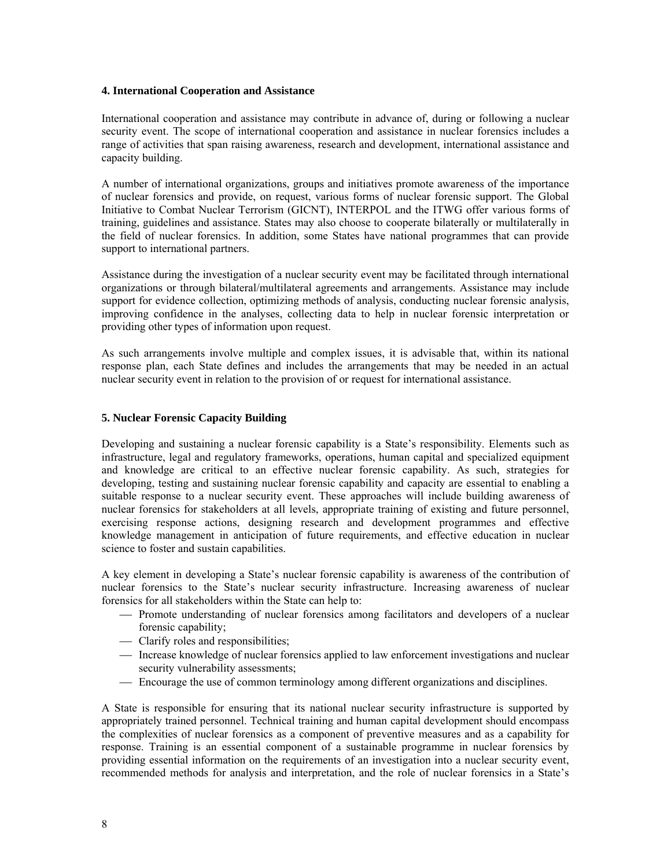#### **4. International Cooperation and Assistance**

International cooperation and assistance may contribute in advance of, during or following a nuclear security event. The scope of international cooperation and assistance in nuclear forensics includes a range of activities that span raising awareness, research and development, international assistance and capacity building.

A number of international organizations, groups and initiatives promote awareness of the importance of nuclear forensics and provide, on request, various forms of nuclear forensic support. The Global Initiative to Combat Nuclear Terrorism (GICNT), INTERPOL and the ITWG offer various forms of training, guidelines and assistance. States may also choose to cooperate bilaterally or multilaterally in the field of nuclear forensics. In addition, some States have national programmes that can provide support to international partners.

Assistance during the investigation of a nuclear security event may be facilitated through international organizations or through bilateral/multilateral agreements and arrangements. Assistance may include support for evidence collection, optimizing methods of analysis, conducting nuclear forensic analysis, improving confidence in the analyses, collecting data to help in nuclear forensic interpretation or providing other types of information upon request.

As such arrangements involve multiple and complex issues, it is advisable that, within its national response plan, each State defines and includes the arrangements that may be needed in an actual nuclear security event in relation to the provision of or request for international assistance.

#### **5. Nuclear Forensic Capacity Building**

Developing and sustaining a nuclear forensic capability is a State's responsibility. Elements such as infrastructure, legal and regulatory frameworks, operations, human capital and specialized equipment and knowledge are critical to an effective nuclear forensic capability. As such, strategies for developing, testing and sustaining nuclear forensic capability and capacity are essential to enabling a suitable response to a nuclear security event. These approaches will include building awareness of nuclear forensics for stakeholders at all levels, appropriate training of existing and future personnel, exercising response actions, designing research and development programmes and effective knowledge management in anticipation of future requirements, and effective education in nuclear science to foster and sustain capabilities.

A key element in developing a State's nuclear forensic capability is awareness of the contribution of nuclear forensics to the State's nuclear security infrastructure. Increasing awareness of nuclear forensics for all stakeholders within the State can help to:

- Promote understanding of nuclear forensics among facilitators and developers of a nuclear forensic capability;
- Clarify roles and responsibilities;
- Increase knowledge of nuclear forensics applied to law enforcement investigations and nuclear security vulnerability assessments;
- Encourage the use of common terminology among different organizations and disciplines.

A State is responsible for ensuring that its national nuclear security infrastructure is supported by appropriately trained personnel. Technical training and human capital development should encompass the complexities of nuclear forensics as a component of preventive measures and as a capability for response. Training is an essential component of a sustainable programme in nuclear forensics by providing essential information on the requirements of an investigation into a nuclear security event, recommended methods for analysis and interpretation, and the role of nuclear forensics in a State's